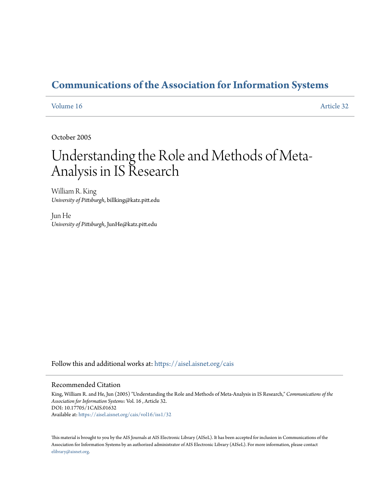# **[Communications of the Association for Information Systems](https://aisel.aisnet.org/cais?utm_source=aisel.aisnet.org%2Fcais%2Fvol16%2Fiss1%2F32&utm_medium=PDF&utm_campaign=PDFCoverPages)**

# [Volume 16](https://aisel.aisnet.org/cais/vol16?utm_source=aisel.aisnet.org%2Fcais%2Fvol16%2Fiss1%2F32&utm_medium=PDF&utm_campaign=PDFCoverPages) [Article 32](https://aisel.aisnet.org/cais/vol16/iss1/32?utm_source=aisel.aisnet.org%2Fcais%2Fvol16%2Fiss1%2F32&utm_medium=PDF&utm_campaign=PDFCoverPages)

October 2005

# Understanding the Role and Methods of Meta-Analysis in IS Research

William R. King *University of Pittsburgh*, billking@katz.pitt.edu

Jun He *University of Pittsburgh*, JunHe@katz.pitt.edu

Follow this and additional works at: [https://aisel.aisnet.org/cais](https://aisel.aisnet.org/cais?utm_source=aisel.aisnet.org%2Fcais%2Fvol16%2Fiss1%2F32&utm_medium=PDF&utm_campaign=PDFCoverPages)

#### Recommended Citation

King, William R. and He, Jun (2005) "Understanding the Role and Methods of Meta-Analysis in IS Research," *Communications of the Association for Information Systems*: Vol. 16 , Article 32. DOI: 10.17705/1CAIS.01632 Available at: [https://aisel.aisnet.org/cais/vol16/iss1/32](https://aisel.aisnet.org/cais/vol16/iss1/32?utm_source=aisel.aisnet.org%2Fcais%2Fvol16%2Fiss1%2F32&utm_medium=PDF&utm_campaign=PDFCoverPages)

This material is brought to you by the AIS Journals at AIS Electronic Library (AISeL). It has been accepted for inclusion in Communications of the Association for Information Systems by an authorized administrator of AIS Electronic Library (AISeL). For more information, please contact [elibrary@aisnet.org.](mailto:elibrary@aisnet.org%3E)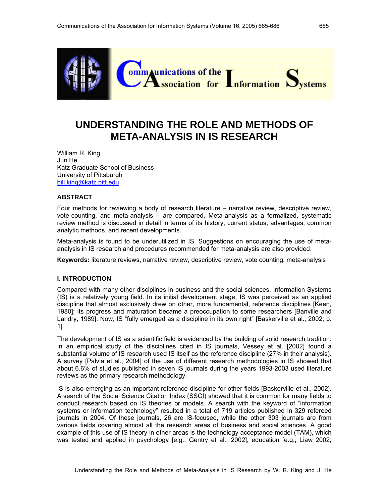

# **UNDERSTANDING THE ROLE AND METHODS OF META-ANALYSIS IN IS RESEARCH**

William R. King Jun He Katz Graduate School of Business University of Pittsburgh bill.king@katz.pitt.edu

# **ABSTRACT**

Four methods for reviewing a body of research literature – narrative review, descriptive review, vote-counting, and meta-analysis – are compared. Meta-analysis as a formalized, systematic review method is discussed in detail in terms of its history, current status, advantages, common analytic methods, and recent developments.

Meta-analysis is found to be underutilized in IS. Suggestions on encouraging the use of metaanalysis in IS research and procedures recommended for meta-analysis are also provided.

**Keywords:** literature reviews, narrative review, descriptive review, vote counting, meta-analysis

# **I. INTRODUCTION**

Compared with many other disciplines in business and the social sciences, Information Systems (IS) is a relatively young field. In its initial development stage, IS was perceived as an applied discipline that almost exclusively drew on other, more fundamental, reference disciplines [Keen, 1980]; its progress and maturation became a preoccupation to some researchers [Banville and Landry, 1989]. Now, IS "fully emerged as a discipline in its own right" [Baskerville et al., 2002; p. 1].

The development of IS as a scientific field is evidenced by the building of solid research tradition. In an empirical study of the disciplines cited in IS journals, Vessey et al. [2002] found a substantial volume of IS research used IS itself as the reference discipline (27% in their analysis). A survey [Palvia et al., 2004] of the use of different research methodologies in IS showed that about 6.6% of studies published in seven IS journals during the years 1993-2003 used literature reviews as the primary research methodology.

IS is also emerging as an important reference discipline for other fields [Baskerville et al., 2002]. A search of the Social Science Citation Index (SSCI) showed that it is common for many fields to conduct research based on IS theories or models. A search with the keyword of "information systems or information technology" resulted in a total of 719 articles published in 329 refereed journals in 2004. Of these journals, 26 are IS-focused, while the other 303 journals are from various fields covering almost all the research areas of business and social sciences. A good example of this use of IS theory in other areas is the technology acceptance model (TAM), which was tested and applied in psychology [e.g., Gentry et al., 2002], education [e.g., Liaw 2002;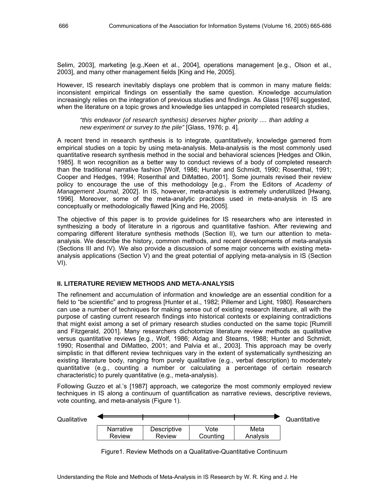Selim, 2003], marketing [e.g.,Keen et al., 2004], operations management [e.g., Olson et al., 2003], and many other management fields [King and He, 2005].

However, IS research inevitably displays one problem that is common in many mature fields: inconsistent empirical findings on essentially the same question. Knowledge accumulation increasingly relies on the integration of previous studies and findings. As Glass [1976] suggested, when the literature on a topic grows and knowledge lies untapped in completed research studies,

*"this endeavor (of research synthesis) deserves higher priority .... than adding a new experiment or survey to the pile"* [Glass, 1976; p. 4]*.* 

A recent trend in research synthesis is to integrate, quantitatively, knowledge garnered from empirical studies on a topic by using meta-analysis. Meta-analysis is the most commonly used quantitative research synthesis method in the social and behavioral sciences [Hedges and Olkin, 1985]. It won recognition as a better way to conduct reviews of a body of completed research than the traditional narrative fashion [Wolf, 1986; Hunter and Schmidt, 1990; Rosenthal, 1991; Cooper and Hedges, 1994; Rosenthal and DiMatteo, 2001]. Some journals revised their review policy to encourage the use of this methodology [e.g., From the Editors of *Academy of Management Journal*, 2002]. In IS, however, meta-analysis is extremely underutilized [Hwang, 1996]. Moreover, some of the meta-analytic practices used in meta-analysis in IS are conceptually or methodologically flawed [King and He, 2005].

The objective of this paper is to provide guidelines for IS researchers who are interested in synthesizing a body of literature in a rigorous and quantitative fashion. After reviewing and comparing different literature synthesis methods (Section II), we turn our attention to metaanalysis. We describe the history, common methods, and recent developments of meta-analysis (Sections III and IV). We also provide a discussion of some major concerns with existing metaanalysis applications (Section V) and the great potential of applying meta-analysis in IS (Section VI).

# **II. LITERATURE REVIEW METHODS AND META-ANALYSIS**

The refinement and accumulation of information and knowledge are an essential condition for a field to "be scientific" and to progress [Hunter et al., 1982; Pillemer and Light, 1980]. Researchers can use a number of techniques for making sense out of existing research literature, all with the purpose of casting current research findings into historical contexts or explaining contradictions that might exist among a set of primary research studies conducted on the same topic [Rumrill and Fitzgerald, 2001]. Many researchers dichotomize literature review methods as qualitative versus quantitative reviews [e.g., Wolf, 1986; Aldag and Stearns, 1988; Hunter and Schmidt, 1990; Rosenthal and DiMatteo, 2001; and Palvia et al., 2003]. This approach may be overly simplistic in that different review techniques vary in the extent of systematically synthesizing an existing literature body, ranging from purely qualitative (e.g., verbal description) to moderately quantitative (e.g., counting a number or calculating a percentage of certain research characteristic) to purely quantitative (e.g., meta-analysis).

Following Guzzo et al.'s [1987] approach, we categorize the most commonly employed review techniques in IS along a continuum of quantification as narrative reviews, descriptive reviews, vote counting, and meta-analysis (Figure 1).

Qualitative Quantitative Quantitative Quantitative Quantitative **Narrative** Review **Descriptive** Review Vote **Counting** Meta Analysis

Figure1. Review Methods on a Qualitative-Quantitative Continuum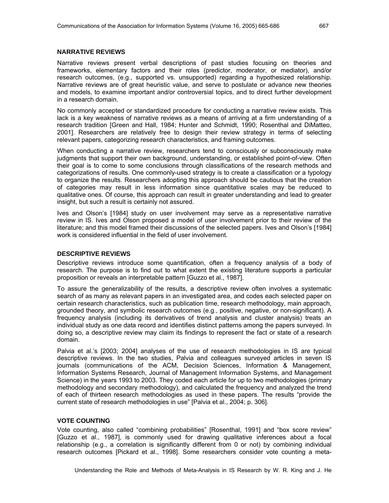# **NARRATIVE REVIEWS**

Narrative reviews present verbal descriptions of past studies focusing on theories and frameworks, elementary factors and their roles (predictor, moderator, or mediator), and/or research outcomes, (e.g., supported vs. unsupported) regarding a hypothesized relationship. Narrative reviews are of great heuristic value, and serve to postulate or advance new theories and models, to examine important and/or controversial topics, and to direct further development in a research domain.

No commonly accepted or standardized procedure for conducting a narrative review exists. This lack is a key weakness of narrative reviews as a means of arriving at a firm understanding of a research tradition [Green and Hall, 1984; Hunter and Schmidt, 1990; Rosenthal and DiMatteo, 2001]. Researchers are relatively free to design their review strategy in terms of selecting relevant papers, categorizing research characteristics, and framing outcomes.

When conducting a narrative review, researchers tend to consciously or subconsciously make judgments that support their own background, understanding, or established point-of-view. Often their goal is to come to some conclusions through classifications of the research methods and categorizations of results. One commonly-used strategy is to create a classification or a typology to organize the results. Researchers adopting this approach should be cautious that the creation of categories may result in less information since quantitative scales may be reduced to qualitative ones. Of course, this approach can result in greater understanding and lead to greater insight, but such a result is certainly not assured.

Ives and Olson's [1984] study on user involvement may serve as a representative narrative review in IS. Ives and Olson proposed a model of user involvement prior to their review of the literature; and this model framed their discussions of the selected papers. Ives and Olson's [1984] work is considered influential in the field of user involvement.

#### **DESCRIPTIVE REVIEWS**

Descriptive reviews introduce some quantification, often a frequency analysis of a body of research. The purpose is to find out to what extent the existing literature supports a particular proposition or reveals an interpretable pattern [Guzzo et al., 1987].

To assure the generalizability of the results, a descriptive review often involves a systematic search of as many as relevant papers in an investigated area, and codes each selected paper on certain research characteristics, such as publication time, research methodology, main approach, grounded theory, and symbolic research outcomes (e.g., positive, negative, or non-significant). A frequency analysis (including its derivatives of trend analysis and cluster analysis) treats an individual study as one data record and identifies distinct patterns among the papers surveyed. In doing so, a descriptive review may claim its findings to represent the fact or state of a research domain.

Palvia et al.'s [2003; 2004] analyses of the use of research methodologies in IS are typical descriptive reviews. In the two studies, Palvia and colleagues surveyed articles in seven IS journals (communications of the ACM, Decision Sciences, Information & Management, Information Systems Research, Journal of Management Information Systems, and Management Science) in the years 1993 to 2003. They coded each article for up to two methodologies (primary methodology and secondary methodology), and calculated the frequency and analyzed the trend of each of thirteen research methodologies as used in these papers. The results "provide the current state of research methodologies in use" [Palvia et al., 2004; p. 306].

# **VOTE COUNTING**

Vote counting, also called "combining probabilities" [Rosenthal, 1991] and "box score review" [Guzzo et al., 1987], is commonly used for drawing qualitative inferences about a focal relationship (e.g., a correlation is significantly different from 0 or not) by combining individual research outcomes [Pickard et al., 1998]. Some researchers consider vote counting a meta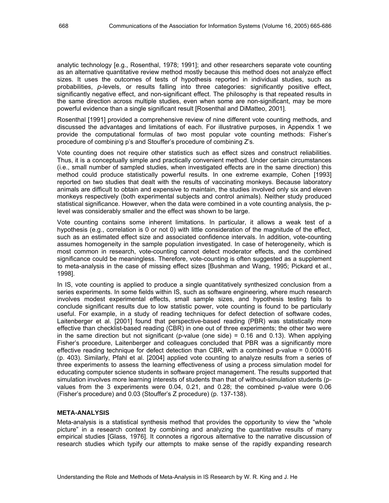analytic technology [e.g., Rosenthal, 1978; 1991]; and other researchers separate vote counting as an alternative quantitative review method mostly because this method does not analyze effect sizes. It uses the outcomes of tests of hypothesis reported in individual studies, such as probabilities, *p*-levels, or results falling into three categories: significantly positive effect, significantly negative effect, and non-significant effect. The philosophy is that repeated results in the same direction across multiple studies, even when some are non-significant, may be more powerful evidence than a single significant result [Rosenthal and DiMatteo, 2001].

Rosenthal [1991] provided a comprehensive review of nine different vote counting methods, and discussed the advantages and limitations of each. For illustrative purposes, in Appendix 1 we provide the computational formulas of two most popular vote counting methods: Fisher's procedure of combining p's and Stouffer's procedure of combining Z's.

Vote counting does not require other statistics such as effect sizes and construct reliabilities. Thus, it is a conceptually simple and practically convenient method. Under certain circumstances (i.e., small number of sampled studies, when investigated effects are in the same direction) this method could produce statistically powerful results. In one extreme example, Cohen [1993] reported on two studies that dealt with the results of vaccinating monkeys. Because laboratory animals are difficult to obtain and expensive to maintain, the studies involved only six and eleven monkeys respectively (both experimental subjects and control animals). Neither study produced statistical significance. However, when the data were combined in a vote counting analysis, the plevel was considerably smaller and the effect was shown to be large.

Vote counting contains some inherent limitations. In particular, it allows a weak test of a hypothesis (e.g., correlation is 0 or not 0) with little consideration of the magnitude of the effect, such as an estimated effect size and associated confidence intervals. In addition, vote-counting assumes homogeneity in the sample population investigated. In case of heterogeneity, which is most common in research, vote-counting cannot detect moderator effects, and the combined significance could be meaningless. Therefore, vote-counting is often suggested as a supplement to meta-analysis in the case of missing effect sizes [Bushman and Wang, 1995; Pickard et al., 1998].

In IS, vote counting is applied to produce a single quantitatively synthesized conclusion from a series experiments. In some fields within IS, such as software engineering, where much research involves modest experimental effects, small sample sizes, and hypothesis testing fails to conclude significant results due to low statistic power, vote counting is found to be particularly useful. For example, in a study of reading techniques for defect detection of software codes, Laitenberger et al. [2001] found that perspective-based reading (PBR) was statistically more effective than checklist-based reading (CBR) in one out of three experiments; the other two were in the same direction but not significant (p-value (one side) =  $0.16$  and  $0.13$ ). When applying Fisher's procedure, Laitenberger and colleagues concluded that PBR was a significantly more effective reading technique for defect detection than CBR, with a combined p-value = 0.000016 (p. 403). Similarly, Pfahl et al. [2004] applied vote counting to analyze results from a series of three experiments to assess the learning effectiveness of using a process simulation model for educating computer science students in software project management. The results supported that simulation involves more learning interests of students than that of without-simulation students (pvalues from the 3 experiments were 0.04, 0.21, and 0.28; the combined p-value were 0.06 (Fisher's procedure) and 0.03 (Stouffer's Z procedure) (p. 137-138).

# **META-ANALYSIS**

Meta-analysis is a statistical synthesis method that provides the opportunity to view the "whole picture" in a research context by combining and analyzing the quantitative results of many empirical studies [Glass, 1976]. It connotes a rigorous alternative to the narrative discussion of research studies which typify our attempts to make sense of the rapidly expanding research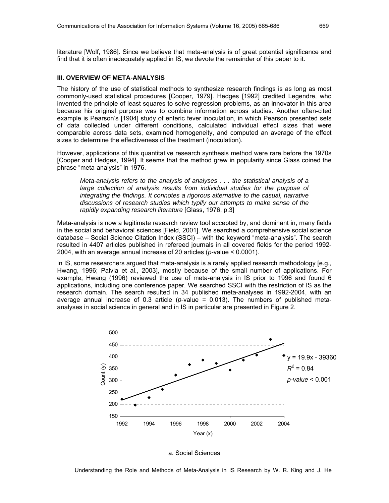literature [Wolf, 1986]. Since we believe that meta-analysis is of great potential significance and find that it is often inadequately applied in IS, we devote the remainder of this paper to it.

# **III. OVERVIEW OF META-ANALYSIS**

The history of the use of statistical methods to synthesize research findings is as long as most commonly-used statistical procedures [Cooper, 1979]. Hedges [1992] credited Legendre, who invented the principle of least squares to solve regression problems, as an innovator in this area because his original purpose was to combine information across studies. Another often-cited example is Pearson's [1904] study of enteric fever inoculation, in which Pearson presented sets of data collected under different conditions, calculated individual effect sizes that were comparable across data sets, examined homogeneity, and computed an average of the effect sizes to determine the effectiveness of the treatment (inoculation).

However, applications of this quantitative research synthesis method were rare before the 1970s [Cooper and Hedges, 1994]. It seems that the method grew in popularity since Glass coined the phrase "meta-analysis" in 1976.

*Meta-analysis refers to the analysis of analyses . . . the statistical analysis of a large collection of analysis results from individual studies for the purpose of integrating the findings. It connotes a rigorous alternative to the casual, narrative discussions of research studies which typify our attempts to make sense of the rapidly expanding research literature* [Glass, 1976, p.3]

Meta-analysis is now a legitimate research review tool accepted by, and dominant in, many fields in the social and behavioral sciences [Field, 2001]. We searched a comprehensive social science database – Social Science Citation Index (SSCI) – with the keyword "meta-analysis". The search resulted in 4407 articles published in refereed journals in all covered fields for the period 1992- 2004, with an average annual increase of 20 articles (*p*-value < 0.0001).

In IS, some researchers argued that meta-analysis is a rarely applied research methodology [e.g., Hwang, 1996; Palvia et al., 2003], mostly because of the small number of applications. For example, Hwang (1996) reviewed the use of meta-analysis in IS prior to 1996 and found 6 applications, including one conference paper. We searched SSCI with the restriction of IS as the research domain. The search resulted in 34 published meta-analyses in 1992-2004, with an average annual increase of 0.3 article ( $p$ -value = 0.013). The numbers of published metaanalyses in social science in general and in IS in particular are presented in Figure 2.



a. Social Sciences

Understanding the Role and Methods of Meta-Analysis in IS Research by W. R. King and J. He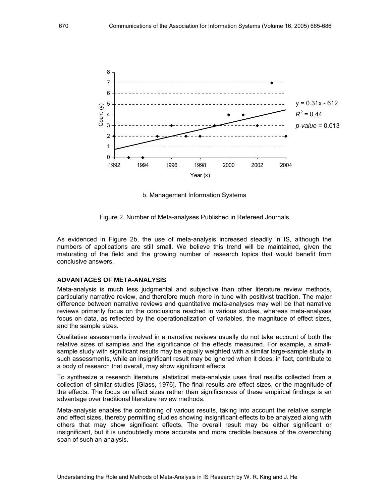

b. Management Information Systems

Figure 2. Number of Meta-analyses Published in Refereed Journals

As evidenced in Figure 2b, the use of meta-analysis increased steadily in IS, although the numbers of applications are still small. We believe this trend will be maintained, given the maturating of the field and the growing number of research topics that would benefit from conclusive answers.

#### **ADVANTAGES OF META-ANALYSIS**

Meta-analysis is much less judgmental and subjective than other literature review methods, particularly narrative review, and therefore much more in tune with positivist tradition. The major difference between narrative reviews and quantitative meta-analyses may well be that narrative reviews primarily focus on the conclusions reached in various studies, whereas meta-analyses focus on data, as reflected by the operationalization of variables, the magnitude of effect sizes, and the sample sizes.

Qualitative assessments involved in a narrative reviews usually do not take account of both the relative sizes of samples and the significance of the effects measured. For example, a smallsample study with significant results may be equally weighted with a similar large-sample study in such assessments, while an insignificant result may be ignored when it does, in fact, contribute to a body of research that overall, may show significant effects.

To synthesize a research literature, statistical meta-analysis uses final results collected from a collection of similar studies [Glass, 1976]. The final results are effect sizes, or the magnitude of the effects. The focus on effect sizes rather than significances of these empirical findings is an advantage over traditional literature review methods.

Meta-analysis enables the combining of various results, taking into account the relative sample and effect sizes, thereby permitting studies showing insignificant effects to be analyzed along with others that may show significant effects. The overall result may be either significant or insignificant, but it is undoubtedly more accurate and more credible because of the overarching span of such an analysis.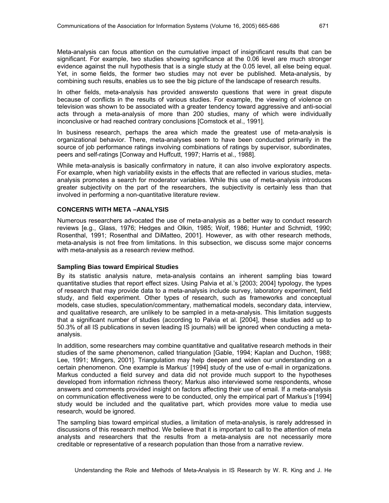Meta-analysis can focus attention on the cumulative impact of insignificant results that can be significant. For example, two studies showing sgnificance at the 0.06 level are much stronger evidence against the null hypothesis that is a single study at the 0.05 level, all else being equal. Yet, in some fields, the former two studies may not ever be published. Meta-analysis, by combining such results, enables us to see the big picture of the landscape of research results.

In other fields, meta-analysis has provided answersto questions that were in great dispute because of conflicts in the results of various studies. For example, the viewing of violence on television was shown to be associated with a greater tendency toward aggressive and anti-social acts through a meta-analysis of more than 200 studies, many of which were individually inconclusive or had reached contrary conclusions [Comstock et al., 1991].

In business research, perhaps the area which made the greatest use of meta-analysis is organizational behavior. There, meta-analyses seem to have been conducted primarily in the source of job performance ratings involving combinations of ratings by supervisor, subordinates, peers and self-ratings [Conway and Huffcutt, 1997; Harris et al., 1988].

While meta-analysis is basically confirmatory in nature, it can also involve exploratory aspects. For example, when high variability exists in the effects that are reflected in various studies, metaanalysis promotes a search for moderator variables. While this use of meta-analysis introduces greater subjectivity on the part of the researchers, the subjectivity is certainly less than that involved in performing a non-quantitative literature review.

# **CONCERNS WITH META –ANALYSIS**

Numerous researchers advocated the use of meta-analysis as a better way to conduct research reviews [e.g., Glass, 1976; Hedges and Olkin, 1985; Wolf, 1986; Hunter and Schmidt, 1990; Rosenthal, 1991; Rosenthal and DiMatteo, 2001]. However, as with other research methods, meta-analysis is not free from limitations. In this subsection, we discuss some major concerns with meta-analysis as a research review method.

#### **Sampling Bias toward Empirical Studies**

By its statistic analysis nature, meta-analysis contains an inherent sampling bias toward quantitative studies that report effect sizes. Using Palvia et al.'s [2003; 2004] typology, the types of research that may provide data to a meta-analysis include survey, laboratory experiment, field study, and field experiment. Other types of research, such as frameworks and conceptual models, case studies, speculation/commentary, mathematical models, secondary data, interview, and qualitative research, are unlikely to be sampled in a meta-analysis. This limitation suggests that a significant number of studies (according to Palvia et al. [2004], these studies add up to 50.3% of all IS publications in seven leading IS journals) will be ignored when conducting a metaanalysis.

In addition, some researchers may combine quantitative and qualitative research methods in their studies of the same phenomenon, called triangulation [Gable, 1994; Kaplan and Duchon, 1988; Lee, 1991; Mingers, 2001]. Triangulation may help deepen and widen our understanding on a certain phenomenon. One example is Markus' [1994] study of the use of e-mail in organizations. Markus conducted a field survey and data did not provide much support to the hypotheses developed from information richness theory; Markus also interviewed some respondents, whose answers and comments provided insight on factors affecting their use of email. If a meta-analysis on communication effectiveness were to be conducted, only the empirical part of Markus's [1994] study would be included and the qualitative part, which provides more value to media use research, would be ignored.

The sampling bias toward empirical studies, a limitation of meta-analysis, is rarely addressed in discussions of this research method. We believe that it is important to call to the attention of meta analysts and researchers that the results from a meta-analysis are not necessarily more creditable or representative of a research population than those from a narrative review.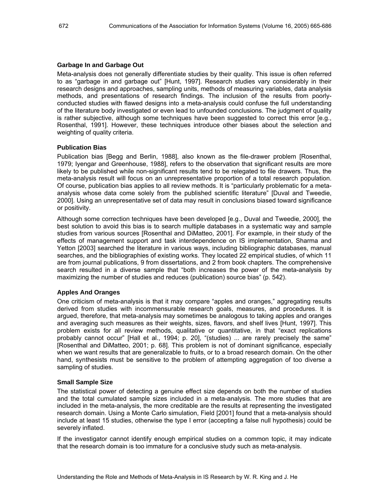#### **Garbage In and Garbage Out**

Meta-analysis does not generally differentiate studies by their quality. This issue is often referred to as "garbage in and garbage out" [Hunt, 1997]. Research studies vary considerably in their research designs and approaches, sampling units, methods of measuring variables, data analysis methods, and presentations of research findings. The inclusion of the results from poorlyconducted studies with flawed designs into a meta-analysis could confuse the full understanding of the literature body investigated or even lead to unfounded conclusions. The judgment of quality is rather subjective, although some techniques have been suggested to correct this error [e.g., Rosenthal, 1991]. However, these techniques introduce other biases about the selection and weighting of quality criteria.

#### **Publication Bias**

Publication bias [Begg and Berlin, 1988], also known as the file-drawer problem [Rosenthal, 1979; Iyengar and Greenhouse, 1988], refers to the observation that significant results are more likely to be published while non-significant results tend to be relegated to file drawers. Thus, the meta-analysis result will focus on an unrepresentative proportion of a total research population. Of course, publication bias applies to all review methods. It is "particularly problematic for a metaanalysis whose data come solely from the published scientific literature" [Duval and Tweedie, 2000]. Using an unrepresentative set of data may result in conclusions biased toward significance or positivity.

Although some correction techniques have been developed [e.g., Duval and Tweedie, 2000], the best solution to avoid this bias is to search multiple databases in a systematic way and sample studies from various sources [Rosenthal and DiMatteo, 2001]. For example, in their study of the effects of management support and task interdependence on IS implementation, Sharma and Yetton [2003] searched the literature in various ways, including bibliographic databases, manual searches, and the bibliographies of existing works. They located 22 empirical studies, of which 11 are from journal publications, 9 from dissertations, and 2 from book chapters. The comprehensive search resulted in a diverse sample that "both increases the power of the meta-analysis by maximizing the number of studies and reduces (publication) source bias" (p. 542).

#### **Apples And Oranges**

One criticism of meta-analysis is that it may compare "apples and oranges," aggregating results derived from studies with incommensurable research goals, measures, and procedures. It is argued, therefore, that meta-analysis may sometimes be analogous to taking apples and oranges and averaging such measures as their weights, sizes, flavors, and shelf lives [Hunt, 1997]. This problem exists for all review methods, qualitative or quantitative, in that "exact replications probably cannot occur" [Hall et al., 1994; p. 20], "(studies) ... are rarely precisely the same" [Rosenthal and DiMatteo, 2001; p. 68]. This problem is not of dominant significance, especially when we want results that are generalizable to fruits, or to a broad research domain. On the other hand, synthesists must be sensitive to the problem of attempting aggregation of too diverse a sampling of studies.

#### **Small Sample Size**

The statistical power of detecting a genuine effect size depends on both the number of studies and the total cumulated sample sizes included in a meta-analysis. The more studies that are included in the meta-analysis, the more creditable are the results at representing the investigated research domain. Using a Monte Carlo simulation, Field [2001] found that a meta-analysis should include at least 15 studies, otherwise the type I error (accepting a false null hypothesis) could be severely inflated.

If the investigator cannot identify enough empirical studies on a common topic, it may indicate that the research domain is too immature for a conclusive study such as meta-analysis.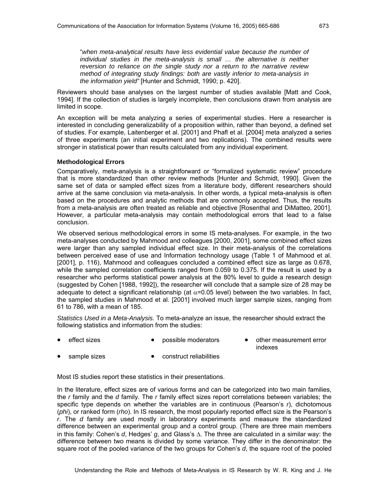"*when meta-analytical results have less evidential value because the number of individual studies in the meta-analysis is small ... the alternative is neither reversion to reliance on the single study nor a return to the narrative review method of integrating study findings: both are vastly inferior to meta-analysis in the information yield"* [Hunter and Schmidt, 1990; p. 420].

Reviewers should base analyses on the largest number of studies available [Matt and Cook, 1994]. If the collection of studies is largely incomplete, then conclusions drawn from analysis are limited in scope.

An exception will be meta analyzing a series of experimental studies. Here a researcher is interested in concluding generalizability of a proposition within, rather than beyond, a defined set of studies. For example, Laitenberger et al. [2001] and Phafl et al. [2004] meta analyzed a series of three experiments (an initial experiment and two replications). The combined results were stronger in statistical power than results calculated from any individual experiment.

# **Methodological Errors**

Comparatively, meta-analysis is a straightforward or "formalized systematic review" procedure that is more standardized than other review methods [Hunter and Schmidt, 1990]. Given the same set of data or sampled effect sizes from a literature body, different researchers should arrive at the same conclusion via meta-analysis. In other words, a typical meta-analysis is often based on the procedures and analytic methods that are commonly accepted. Thus, the results from a meta-analysis are often treated as reliable and objective [Rosenthal and DiMatteo, 2001]. However, a particular meta-analysis may contain methodological errors that lead to a false conclusion.

We observed serious methodological errors in some IS meta-analyses. For example, in the two meta-analyses conducted by Mahmood and colleagues [2000, 2001], some combined effect sizes were larger than any sampled individual effect size. In their meta-analysis of the correlations between perceived ease of use and Information technology usage (Table 1 of Mahmood et al. [2001], p. 116), Mahmood and colleagues concluded a combined effect size as large as 0.678, while the sampled correlation coefficients ranged from 0.059 to 0.375. If the result is used by a researcher who performs statistical power analysis at the 80% level to guide a research design (suggested by Cohen [1988, 1992]), the researcher will conclude that a sample size of 28 may be adequate to detect a significant relationship (at  $\alpha$ =0.05 level) between the two variables. In fact, the sampled studies in Mahmood et al. [2001] involved much larger sample sizes, ranging from 61 to 786, with a mean of 185.

*Statistics Used in a Meta-Analysis.* To meta-analyze an issue, the researcher should extract the following statistics and information from the studies:

- 
- 
- effect sizes possible moderators other measurement error indexes
- sample sizes construct reliabilities

Most IS studies report these statistics in their presentations.

In the literature, effect sizes are of various forms and can be categorized into two main families, the *r* family and the *d* family. The *r* family effect sizes report correlations between variables; the specific type depends on whether the variables are in continuous (Pearson's *r*), dichotomous (*phi*), or ranked form (*rho*). In IS research, the most popularly reported effect size is the Pearson's *r*. The *d* family are used mostly in laboratory experiments and measure the standardized difference between an experimental group and a control group. (There are three main members in this family: Cohen's *d*, Hedges' *g*, and Glass's ∆. The three are calculated in a similar way: the difference between two means is divided by some variance. They differ in the denominator: the square root of the pooled variance of the two groups for Cohen's *d*, the square root of the pooled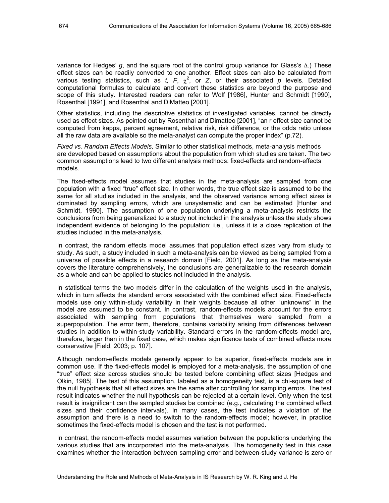variance for Hedges' *g*, and the square root of the control group variance for Glass's ∆.) These effect sizes can be readily converted to one another. Effect sizes can also be calculated from various testing statistics, such as  $t$ ,  $F$ ,  $\chi^2$ , or  $Z$ , or their associated  $p$  levels. Detailed computational formulas to calculate and convert these statistics are beyond the purpose and scope of this study. Interested readers can refer to Wolf [1986], Hunter and Schmidt [1990], Rosenthal [1991], and Rosenthal and DiMatteo [2001].

Other statistics, including the descriptive statistics of investigated variables, cannot be directly used as effect sizes. As pointed out by Rosenthal and Dimatteo [2001], "an r effect size cannot be computed from kappa, percent agreement, relative risk, risk difference, or the odds ratio unless all the raw data are available so the meta-analyst can compute the proper index" (p.72).

*Fixed vs. Random Effects Models,* Similar to other statistical methods, meta-analysis methods are developed based on assumptions about the population from which studies are taken. The two common assumptions lead to two different analysis methods: fixed-effects and random-effects models.

The fixed-effects model assumes that studies in the meta-analysis are sampled from one population with a fixed "true" effect size. In other words, the true effect size is assumed to be the same for all studies included in the analysis, and the observed variance among effect sizes is dominated by sampling errors, which are unsystematic and can be estimated [Hunter and Schmidt, 1990]. The assumption of one population underlying a meta-analysis restricts the conclusions from being generalized to a study not included in the analysis unless the study shows independent evidence of belonging to the population; i.e., unless it is a close replication of the studies included in the meta-analysis.

In contrast, the random effects model assumes that population effect sizes vary from study to study. As such, a study included in such a meta-analysis can be viewed as being sampled from a universe of possible effects in a research domain [Field, 2001]. As long as the meta-analysis covers the literature comprehensively, the conclusions are generalizable to the research domain as a whole and can be applied to studies not included in the analysis.

In statistical terms the two models differ in the calculation of the weights used in the analysis, which in turn affects the standard errors associated with the combined effect size. Fixed-effects models use only within-study variability in their weights because all other "unknowns" in the model are assumed to be constant. In contrast, random-effects models account for the errors associated with sampling from populations that themselves were sampled from a superpopulation. The error term, therefore, contains variability arising from differences between studies in addition to within-study variability. Standard errors in the random-effects model are, therefore, larger than in the fixed case, which makes significance tests of combined effects more conservative [Field, 2003; p. 107].

Although random-effects models generally appear to be superior, fixed-effects models are in common use. If the fixed-effects model is employed for a meta-analysis, the assumption of one "true" effect size across studies should be tested before combining effect sizes [Hedges and Olkin, 1985]. The test of this assumption, labeled as a homogeneity test, is a chi-square test of the null hypothesis that all effect sizes are the same after controlling for sampling errors. The test result indicates whether the null hypothesis can be rejected at a certain level. Only when the test result is insignificant can the sampled studies be combined (e.g., calculating the combined effect sizes and their confidence intervals). In many cases, the test indicates a violation of the assumption and there is a need to switch to the random-effects model; however, in practice sometimes the fixed-effects model is chosen and the test is not performed.

In contrast, the random-effects model assumes variation between the populations underlying the various studies that are incorporated into the meta-analysis. The homogeneity test in this case examines whether the interaction between sampling error and between-study variance is zero or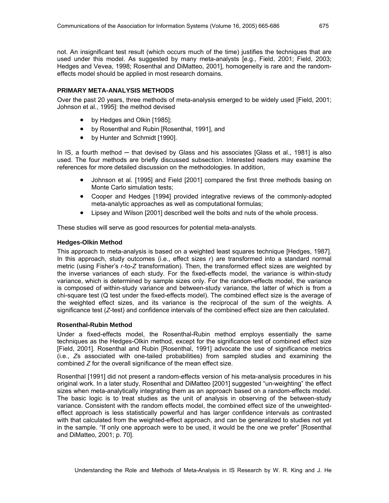not. An insignificant test result (which occurs much of the time) justifies the techniques that are used under this model. As suggested by many meta-analysts [e.g., Field, 2001; Field, 2003; Hedges and Vevea, 1998; Rosenthal and DiMatteo, 2001], homogeneity is rare and the randomeffects model should be applied in most research domains.

# **PRIMARY META-ANALYSIS METHODS**

Over the past 20 years, three methods of meta-analysis emerged to be widely used [Field, 2001; Johnson et al., 1995]: the method devised

- by Hedges and Olkin [1985];
- by Rosenthal and Rubin [Rosenthal, 1991], and
- by Hunter and Schmidt [1990].

In IS, a fourth method ─ that devised by Glass and his associates [Glass et al., 1981] is also used. The four methods are briefly discussed subsection. Interested readers may examine the references for more detailed discussion on the methodologies. In addition,

- Johnson et al. [1995] and Field [2001] compared the first three methods basing on Monte Carlo simulation tests;
- Cooper and Hedges [1994] provided integrative reviews of the commonly-adopted meta-analytic approaches as well as computational formulas;
- Lipsey and Wilson [2001] described well the bolts and nuts of the whole process.

These studies will serve as good resources for potential meta-analysts.

# **Hedges-Olkin Method**

This approach to meta-analysis is based on a weighted least squares technique [Hedges, 1987]. In this approach, study outcomes (i.e., effect sizes *r*) are transformed into a standard normal metric (using Fisher's *r*-to-*Z* transformation). Then, the transformed effect sizes are weighted by the inverse variances of each study. For the fixed-effects model, the variance is within-study variance, which is determined by sample sizes only. For the random-effects model, the variance is composed of within-study variance and between-study variance, the latter of which is from a chi-square test (Q test under the fixed-effects model). The combined effect size is the average of the weighted effect sizes, and its variance is the reciprocal of the sum of the weights. A significance test (*Z*-test) and confidence intervals of the combined effect size are then calculated.

# **Rosenthal-Rubin Method**

Under a fixed-effects model, the Rosenthal-Rubin method employs essentially the same techniques as the Hedges-Olkin method, except for the significance test of combined effect size [Field, 2001]. Rosenthal and Rubin [Rosenthal, 1991] advocate the use of significance metrics (i.e., *Z*s associated with one-tailed probabilities) from sampled studies and examining the combined *Z* for the overall significance of the mean effect size.

Rosenthal [1991] did not present a random-effects version of his meta-analysis procedures in his original work. In a later study, Rosenthal and DiMatteo [2001] suggested "un-weighting" the effect sizes when meta-analytically integrating them as an approach based on a random-effects model. The basic logic is to treat studies as the unit of analysis in observing of the between-study variance. Consistent with the random effects model, the combined effect size of the unweightedeffect approach is less statistically powerful and has larger confidence intervals as contrasted with that calculated from the weighted-effect approach, and can be generalized to studies not yet in the sample. "If only one approach were to be used, it would be the one we prefer" [Rosenthal and DiMatteo, 2001; p. 70].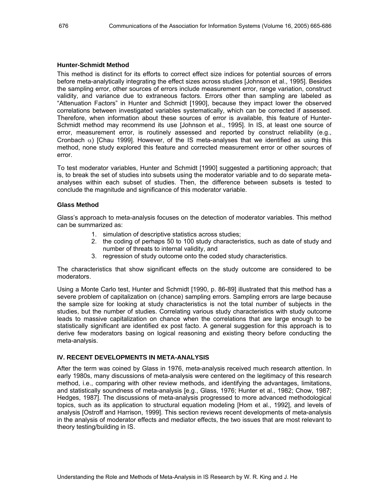#### **Hunter-Schmidt Method**

This method is distinct for its efforts to correct effect size indices for potential sources of errors before meta-analytically integrating the effect sizes across studies [Johnson et al., 1995]. Besides the sampling error, other sources of errors include measurement error, range variation, construct validity, and variance due to extraneous factors. Errors other than sampling are labeled as "Attenuation Factors" in Hunter and Schmidt [1990], because they impact lower the observed correlations between investigated variables systematically, which can be corrected if assessed. Therefore, when information about these sources of error is available, this feature of Hunter-Schmidt method may recommend its use [Johnson et al., 1995]. In IS, at least one source of error, measurement error, is routinely assessed and reported by construct reliability (e.g., Cronbach  $\alpha$ ) [Chau 1999]. However, of the IS meta-analyses that we identified as using this method, none study explored this feature and corrected measurement error or other sources of error.

To test moderator variables, Hunter and Schmidt [1990] suggested a partitioning approach; that is, to break the set of studies into subsets using the moderator variable and to do separate metaanalyses within each subset of studies. Then, the difference between subsets is tested to conclude the magnitude and significance of this moderator variable.

#### **Glass Method**

Glass's approach to meta-analysis focuses on the detection of moderator variables. This method can be summarized as:

- 1. simulation of descriptive statistics across studies;
- 2. the coding of perhaps 50 to 100 study characteristics, such as date of study and number of threats to internal validity, and
- 3. regression of study outcome onto the coded study characteristics.

The characteristics that show significant effects on the study outcome are considered to be moderators.

Using a Monte Carlo test, Hunter and Schmidt [1990, p. 86-89] illustrated that this method has a severe problem of capitalization on (chance) sampling errors. Sampling errors are large because the sample size for looking at study characteristics is not the total number of subjects in the studies, but the number of studies. Correlating various study characteristics with study outcome leads to massive capitalization on chance when the correlations that are large enough to be statistically significant are identified ex post facto. A general suggestion for this approach is to derive few moderators basing on logical reasoning and existing theory before conducting the meta-analysis.

#### **IV. RECENT DEVELOPMENTS IN META-ANALYSIS**

After the term was coined by Glass in 1976, meta-analysis received much research attention. In early 1980s, many discussions of meta-analysis were centered on the legitimacy of this research method, i.e., comparing with other review methods, and identifying the advantages, limitations, and statistically soundness of meta-analysis [e.g., Glass, 1976; Hunter et al., 1982; Chow, 1987; Hedges, 1987]. The discussions of meta-analysis progressed to more advanced methodological topics, such as its application to structural equation modeling [Hom et al., 1992], and levels of analysis [Ostroff and Harrison, 1999]. This section reviews recent developments of meta-analysis in the analysis of moderator effects and mediator effects, the two issues that are most relevant to theory testing/building in IS.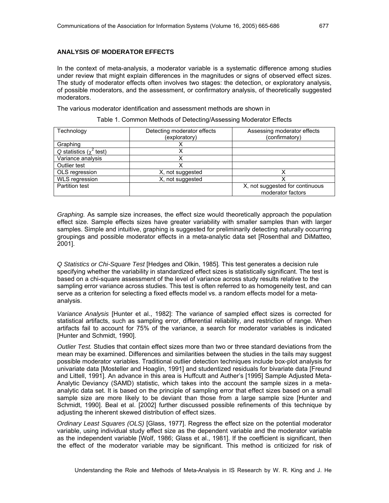#### **ANALYSIS OF MODERATOR EFFECTS**

In the context of meta-analysis, a moderator variable is a systematic difference among studies under review that might explain differences in the magnitudes or signs of observed effect sizes. The study of moderator effects often involves two stages: the detection, or exploratory analysis, of possible moderators, and the assessment, or confirmatory analysis, of theoretically suggested moderators.

The various moderator identification and assessment methods are shown in

| Technology                    | Detecting moderator effects | Assessing moderator effects                          |
|-------------------------------|-----------------------------|------------------------------------------------------|
|                               | (exploratory)               | (confirmatory)                                       |
| Graphing                      |                             |                                                      |
| Q statistics ( $\chi^2$ test) |                             |                                                      |
| Variance analysis             |                             |                                                      |
| Outlier test                  |                             |                                                      |
| OLS regression                | X, not suggested            |                                                      |
| <b>WLS</b> regression         | X, not suggested            |                                                      |
| Partition test                |                             | X, not suggested for continuous<br>moderator factors |

Table 1. Common Methods of Detecting/Assessing Moderator Effects

*Graphing.* As sample size increases, the effect size would theoretically approach the population effect size. Sample effects sizes have greater variability with smaller samples than with larger samples. Simple and intuitive, graphing is suggested for preliminarily detecting naturally occurring groupings and possible moderator effects in a meta-analytic data set [Rosenthal and DiMatteo, 2001].

*Q Statistics or Chi-Square Test* [Hedges and Olkin, 1985]*.* This test generates a decision rule specifying whether the variability in standardized effect sizes is statistically significant. The test is based on a chi-square assessment of the level of variance across study results relative to the sampling error variance across studies. This test is often referred to as homogeneity test, and can serve as a criterion for selecting a fixed effects model vs. a random effects model for a metaanalysis.

*Variance Analysis* [Hunter et al., 1982]: The variance of sampled effect sizes is corrected for statistical artifacts, such as sampling error, differential reliability, and restriction of range. When artifacts fail to account for 75% of the variance, a search for moderator variables is indicated [Hunter and Schmidt, 1990].

*Outlier Test.* Studies that contain effect sizes more than two or three standard deviations from the mean may be examined. Differences and similarities between the studies in the tails may suggest possible moderator variables. Traditional outlier detection techniques include box-plot analysis for univariate data [Mosteller and Hoaglin, 1991] and studentized residuals for bivariate data [Freund and Littell, 1991]. An advance in this area is Huffcutt and Auther's [1995] Sample Adjusted Meta-Analytic Deviancy (SAMD) statistic, which takes into the account the sample sizes in a metaanalytic data set. It is based on the principle of sampling error that effect sizes based on a small sample size are more likely to be deviant than those from a large sample size [Hunter and Schmidt, 1990]. Beal et al. [2002] further discussed possible refinements of this technique by adjusting the inherent skewed distribution of effect sizes.

*Ordinary Least Squares (OLS)* [Glass, 1977]. Regress the effect size on the potential moderator variable, using individual study effect size as the dependent variable and the moderator variable as the independent variable [Wolf, 1986; Glass et al., 1981]. If the coefficient is significant, then the effect of the moderator variable may be significant. This method is criticized for risk of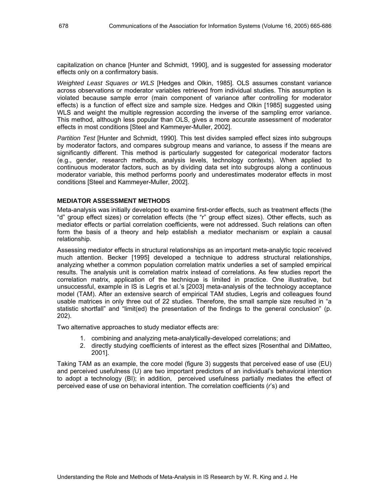capitalization on chance [Hunter and Schmidt, 1990], and is suggested for assessing moderator effects only on a confirmatory basis.

*Weighted Least Squares or WLS* [Hedges and Olkin, 1985]. OLS assumes constant variance across observations or moderator variables retrieved from individual studies. This assumption is violated because sample error (main component of variance after controlling for moderator effects) is a function of effect size and sample size. Hedges and Olkin [1985] suggested using WLS and weight the multiple regression according the inverse of the sampling error variance. This method, although less popular than OLS, gives a more accurate assessment of moderator effects in most conditions [Steel and Kammeyer-Muller, 2002].

*Partition Test* [Hunter and Schmidt, 1990]. This test divides sampled effect sizes into subgroups by moderator factors, and compares subgroup means and variance, to assess if the means are significantly different. This method is particularly suggested for categorical moderator factors (e.g., gender, research methods, analysis levels, technology contexts). When applied to continuous moderator factors, such as by dividing data set into subgroups along a continuous moderator variable, this method performs poorly and underestimates moderator effects in most conditions [Steel and Kammeyer-Muller, 2002].

# **MEDIATOR ASSESSMENT METHODS**

Meta-analysis was initially developed to examine first-order effects, such as treatment effects (the "d" group effect sizes) or correlation effects (the "r" group effect sizes). Other effects, such as mediator effects or partial correlation coefficients, were not addressed. Such relations can often form the basis of a theory and help establish a mediator mechanism or explain a causal relationship.

Assessing mediator effects in structural relationships as an important meta-analytic topic received much attention. Becker [1995] developed a technique to address structural relationships, analyzing whether a common population correlation matrix underlies a set of sampled empirical results. The analysis unit is correlation matrix instead of correlations. As few studies report the correlation matrix, application of the technique is limited in practice. One illustrative, but unsuccessful, example in IS is Legris et al.'s [2003] meta-analysis of the technology acceptance model (TAM). After an extensive search of empirical TAM studies, Legris and colleagues found usable matrices in only three out of 22 studies. Therefore, the small sample size resulted in "a statistic shortfall" and "limit(ed) the presentation of the findings to the general conclusion" (p. 202).

Two alternative approaches to study mediator effects are:

- 1. combining and analyzing meta-analytically-developed correlations; and
- 2. directly studying coefficients of interest as the effect sizes [Rosenthal and DiMatteo, 2001].

Taking TAM as an example, the core model (figure 3) suggests that perceived ease of use (EU) and perceived usefulness (U) are two important predictors of an individual's behavioral intention to adopt a technology (BI); in addition, perceived usefulness partially mediates the effect of perceived ease of use on behavioral intention. The correlation coefficients (*r*'s) and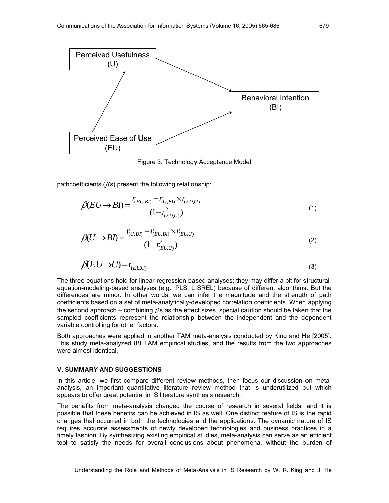

Figure 3. Technology Acceptance Model

pathcoefficients ( $\beta$ s) present the following relationship:

$$
\beta(EU \to BI) = \frac{r_{(EU,BI)} - r_{(U,BI)} \times r_{(EU,U)}}{(1 - r_{(EU,U)}^2)}
$$
(1)

$$
\beta(U \to B I) = \frac{r_{(U,BI)} - r_{(EU,BI)} \times r_{(EU,U)}}{(1 - r_{(EU,U)}^2)}
$$
(2)

$$
\beta(EU \to U) = r_{(EUU)} \tag{3}
$$

The three equations hold for linear-regression-based analyses; they may differ a bit for structuralequation-modeling-based analyses (e.g., PLS, LISREL) because of different algorithms. But the differences are minor. In other words, we can infer the magnitude and the strength of path coefficients based on a set of meta-analytically-developed correlation coefficients. When applying the second approach – combining  $\beta$ s as the effect sizes, special caution should be taken that the sampled coefficients represent the relationship between the independent and the dependent variable controlling for other factors.

Both approaches were applied in another TAM meta-analysis conducted by King and He [2005]. This study meta-analyzed 88 TAM empirical studies, and the results from the two approaches were almost identical.

#### **V. SUMMARY AND SUGGESTIONS**

In this article, we first compare different review methods, then focus our discussion on metaanalysis, an important quantitative literature review method that is underutilized but which appears to offer great potential in IS literature synthesis research.

The benefits from meta-analysis changed the course of research in several fields, and it is possible that these benefits can be achieved in IS as well. One distinct feature of IS is the rapid changes that occurred in both the technologies and the applications. The dynamic nature of IS requires accurate assessments of newly developed technologies and business practices in a timely fashion. By synthesizing existing empirical studies, meta-analysis can serve as an efficient tool to satisfy the needs for overall conclusions about phenomena, without the burden of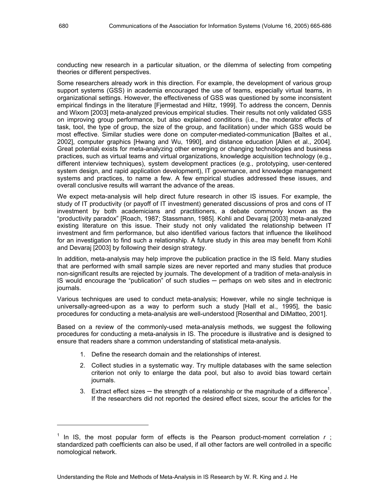conducting new research in a particular situation, or the dilemma of selecting from competing theories or different perspectives.

Some researchers already work in this direction. For example, the development of various group support systems (GSS) in academia encouraged the use of teams, especially virtual teams, in organizational settings. However, the effectiveness of GSS was questioned by some inconsistent empirical findings in the literature [Fjermestad and Hiltz, 1999]. To address the concern, Dennis and Wixom [2003] meta-analyzed previous empirical studies. Their results not only validated GSS on improving group performance, but also explained conditions (i.e., the moderator effects of task, tool, the type of group, the size of the group, and facilitation) under which GSS would be most effective. Similar studies were done on computer-mediated-communication [Baltes et al., 2002], computer graphics [Hwang and Wu, 1990], and distance education [Allen et al., 2004]. Great potential exists for meta-analyzing other emerging or changing technologies and business practices, such as virtual teams and virtual organizations, knowledge acquisition technology (e.g., different interview techniques), system development practices (e.g., prototyping, user-centered system design, and rapid application development), IT governance, and knowledge management systems and practices, to name a few. A few empirical studies addressed these issues, and overall conclusive results will warrant the advance of the areas.

We expect meta-analysis will help direct future research in other IS issues. For example, the study of IT productivity (or payoff of IT investment) generated discussions of pros and cons of IT investment by both academicians and practitioners, a debate commonly known as the "productivity paradox" [Roach, 1987; Stassmann, 1985]. Kohli and Devaraj [2003] meta-analyzed existing literature on this issue. Their study not only validated the relationship between IT investment and firm performance, but also identified various factors that influence the likelihood for an investigation to find such a relationship. A future study in this area may benefit from Kohli and Devaraj [2003] by following their design strategy.

In addition, meta-analysis may help improve the publication practice in the IS field. Many studies that are performed with small sample sizes are never reported and many studies that produce non-significant results are rejected by journals. The development of a tradition of meta-analysis in IS would encourage the "publication" of such studies ─ perhaps on web sites and in electronic journals.

Various techniques are used to conduct meta-analysis; However, while no single technique is universally-agreed-upon as a way to perform such a study [Hall et al., 1995], the basic procedures for conducting a meta-analysis are well-understood [Rosenthal and DiMatteo, 2001].

Based on a review of the commonly-used meta-analysis methods, we suggest the following procedures for conducting a meta-analysis in IS. The procedure is illustrative and is designed to ensure that readers share a common understanding of statistical meta-analysis.

- 1. Define the research domain and the relationships of interest.
- 2. Collect studies in a systematic way. Try multiple databases with the same selection criterion not only to enlarge the data pool, but also to avoid bias toward certain journals.
- 3. Extract effect sizes  $-$  the strength of a relationship or the magnitude of a difference<sup>1</sup>. If the researchers did not reported the desired effect sizes, scour the articles for the

l

<sup>&</sup>lt;sup>1</sup> In IS, the most popular form of effects is the Pearson product-moment correlation *r*; standardized path coefficients can also be used, if all other factors are well controlled in a specific nomological network.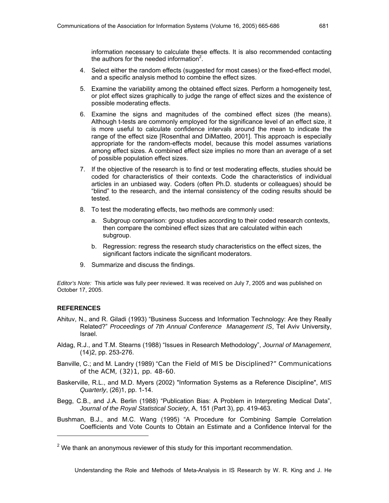information necessary to calculate these effects. It is also recommended contacting the authors for the needed information $2$ .

- 4. Select either the random effects (suggested for most cases) or the fixed-effect model, and a specific analysis method to combine the effect sizes.
- 5. Examine the variability among the obtained effect sizes. Perform a homogeneity test, or plot effect sizes graphically to judge the range of effect sizes and the existence of possible moderating effects.
- 6. Examine the signs and magnitudes of the combined effect sizes (the means). Although t-tests are commonly employed for the significance level of an effect size, it is more useful to calculate confidence intervals around the mean to indicate the range of the effect size [Rosenthal and DiMatteo, 2001]. This approach is especially appropriate for the random-effects model, because this model assumes variations among effect sizes. A combined effect size implies no more than an average of a set of possible population effect sizes.
- 7. If the objective of the research is to find or test moderating effects, studies should be coded for characteristics of their contexts. Code the characteristics of individual articles in an unbiased way. Coders (often Ph.D. students or colleagues) should be "blind" to the research, and the internal consistency of the coding results should be tested.
- 8. To test the moderating effects, two methods are commonly used:
	- a. Subgroup comparison: group studies according to their coded research contexts, then compare the combined effect sizes that are calculated within each subgroup.
	- b. Regression: regress the research study characteristics on the effect sizes, the significant factors indicate the significant moderators.
- 9. Summarize and discuss the findings.

*Editor's Note:* This article was fully peer reviewed. It was received on July 7, 2005 and was published on October 17, 2005.

#### **REFERENCES**

1

- Ahituv, N., and R. Giladi (1993) "Business Success and Information Technology: Are they Really Related?" *Proceedings of 7th Annual Conference Management IS*, Tel Aviv University, Israel.
- Aldag, R.J., and T.M. Stearns (1988) "Issues in Research Methodology", *Journal of Management*, (14)2, pp. 253-276.
- Banville, C.; and M. Landry (1989) "Can the Field of MIS be Disciplined?" *Communications of the ACM*, (32)1, pp. 48-60.
- Baskerville, R.L., and M.D. Myers (2002) "Information Systems as a Reference Discipline", *MIS Quarterly*, (26)1, pp. 1-14.
- Begg, C.B., and J.A. Berlin (1988) "Publication Bias: A Problem in Interpreting Medical Data", *Journal of the Royal Statistical Society*, A, 151 (Part 3), pp. 419-463.
- Bushman, B.J., and M.C. Wang (1995) "A Procedure for Combining Sample Correlation Coefficients and Vote Counts to Obtain an Estimate and a Confidence Interval for the

 $2$  We thank an anonymous reviewer of this study for this important recommendation.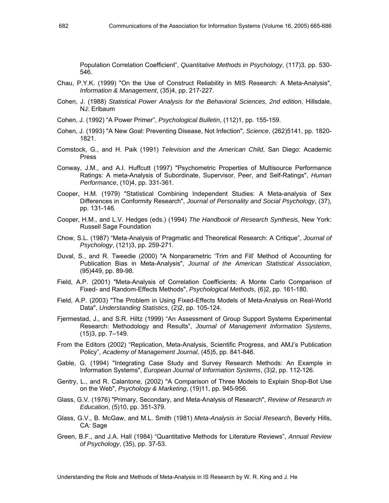Population Correlation Coefficient", *Quantitative Methods in Psychology*, (117)3, pp. 530- 546.

- Chau, P.Y.K. (1999) "On the Use of Construct Reliability in MIS Research: A Meta-Analysis", *Information & Management*, (35)4, pp. 217-227.
- Cohen, J. (1988) *Statistical Power Analysis for the Behavioral Sciences, 2nd edition*, Hillsdale, NJ: Erlbaum
- Cohen, J. (1992) "A Power Primer", *Psychological Bulletin*, (112)1, pp. 155-159.
- Cohen, J. (1993) "A New Goal: Preventing Disease, Not Infection", *Science*, (262)5141, pp. 1820- 1821.
- Comstock, G., and H. Paik (1991) *Television and the American Child*, San Diego: Academic Press
- Conway, J.M., and A.I. Huffcutt (1997) "Psychometric Properties of Multisource Performance Ratings: A meta-Analysis of Subordinate, Supervisor, Peer, and Self-Ratings", *Human Performance*, (10)4, pp. 331-361.
- Cooper, H.M. (1979) "Statistical Combining Independent Studies: A Meta-analysis of Sex Differences in Conformity Research", *Journal of Personality and Social Psychology*, (37), pp. 131-146.
- Cooper, H.M., and L.V. Hedges (eds.) (1994) *The Handbook of Research Synthesis*, New York: Russell Sage Foundation
- Chow, S.L. (1987) "Meta-Analysis of Pragmatic and Theoretical Research: A Critique", *Journal of Psychology*, (121)3, pp. 259-271.
- Duval, S., and R. Tweedie (2000) "A Nonparametric 'Trim and Fill' Method of Accounting for Publication Bias in Meta-Analysis", *Journal of the American Statistical Association*, (95)449, pp. 89-98.
- Field, A.P. (2001) "Meta-Analysis of Correlation Coefficients: A Monte Carlo Comparison of Fixed- and Random-Effects Methods", *Psychological Methods*, (6)2, pp. 161-180.
- Field, A.P. (2003) "The Problem in Using Fixed-Effects Models of Meta-Analysis on Real-World Data", *Understanding Statistics*, (2)2, pp. 105-124.
- Fjermestad, J., and S.R. Hiltz (1999) "An Assessment of Group Support Systems Experimental Research: Methodology and Results", *Journal of Management Information Systems*, (15)3, pp. 7–149.
- From the Editors (2002) "Replication, Meta-Analysis, Scientific Progress, and AMJ's Publication Policy", *Academy of Management Journal*, (45)5, pp. 841-846.
- Gable, G. (1994) "Integrating Case Study and Survey Research Methods: An Example in Information Systems", *European Journal of Information Systems*, (3)2, pp. 112-126.
- Gentry, L., and R. Calantone, (2002) "A Comparison of Three Models to Explain Shop-Bot Use on the Web", *Psychology & Marketing*, (19)11, pp. 945-956.
- Glass, G.V. (1976) "Primary, Secondary, and Meta-Analysis of Research", *Review of Research in Education*, (5)10, pp. 351-379.
- Glass, G.V., B. McGaw, and M.L. Smith (1981) *Meta-Analysis in Social Research*, Beverly Hills, CA: Sage
- Green, B.F., and J.A. Hall (1984) "Quantitative Methods for Literature Reviews", *Annual Review of Psychology*, (35), pp. 37-53.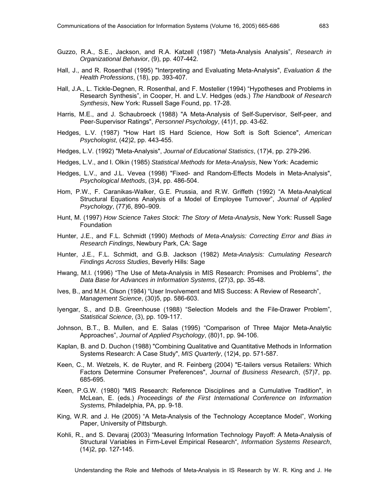- Guzzo, R.A., S.E., Jackson, and R.A. Katzell (1987) "Meta-Analysis Analysis", *Research in Organizational Behavior*, (9), pp. 407-442.
- Hall, J., and R. Rosenthal (1995) "Interpreting and Evaluating Meta-Analysis", *Evaluation & the Health Professions*, (18), pp. 393-407.
- Hall, J.A., L. Tickle-Degnen, R. Rosenthal, and F. Mosteller (1994) "Hypotheses and Problems in Research Synthesis", in Cooper, H. and L.V. Hedges (eds.) *The Handbook of Research Synthesis*, New York: Russell Sage Found, pp. 17-28.
- Harris, M.E., and J. Schaubroeck (1988) "A Meta-Analysis of Self-Supervisor, Self-peer, and Peer-Supervisor Ratings", *Personnel Psychology*, (41)1, pp. 43-62.
- Hedges, L.V. (1987) "How Hart IS Hard Science, How Soft is Soft Science", *American Psychologist*, (42)2, pp. 443-455.
- Hedges, L.V. (1992) "Meta-Analysis", *Journal of Educational Statistics*, (17)4, pp. 279-296.
- Hedges, L.V., and I. Olkin (1985) *Statistical Methods for Meta-Analysis*, New York: Academic
- Hedges, L.V., and J.L. Vevea (1998) "Fixed- and Random-Effects Models in Meta-Analysis", *Psychological Methods*, (3)4, pp. 486-504.
- Hom, P.W., F. Caranikas-Walker, G.E. Prussia, and R.W. Griffeth (1992) "A Meta-Analytical Structural Equations Analysis of a Model of Employee Turnover", *Journal of Applied Psychology*, (77)6, 890–909.
- Hunt, M. (1997) *How Science Takes Stock: The Story of Meta-Analysis*, New York: Russell Sage Foundation
- Hunter, J.E., and F.L. Schmidt (1990) *Methods of Meta-Analysis: Correcting Error and Bias in Research Findings*, Newbury Park, CA: Sage
- Hunter, J.E., F.L. Schmidt, and G.B. Jackson (1982) *Meta-Analysis: Cumulating Research Findings Across Studies*, Beverly Hills: Sage
- Hwang, M.I. (1996) "The Use of Meta-Analysis in MIS Research: Promises and Problems", *the Data Base for Advances in Information Systems*, (27)3, pp. 35-48.
- Ives, B., and M.H. Olson (1984) "User Involvement and MIS Success: A Review of Research", *Management Science*, (30)5, pp. 586-603.
- Iyengar, S., and D.B. Greenhouse (1988) "Selection Models and the File-Drawer Problem", *Statistical Science*, (3), pp. 109-117.
- Johnson, B.T., B. Mullen, and E. Salas (1995) "Comparison of Three Major Meta-Analytic Approaches", *Journal of Applied Psychology*, (80)1, pp. 94-106.
- Kaplan, B. and D. Duchon (1988) "Combining Qualitative and Quantitative Methods in Information Systems Research: A Case Study", *MIS Quarterly*, (12)4, pp. 571-587.
- Keen, C., M. Wetzels, K. de Ruyter, and R. Feinberg (2004) "E-tailers versus Retailers: Which Factors Determine Consumer Preferences", *Journal of Business Research*, (57)7, pp. 685-695.
- Keen, P.G.W. (1980) "MIS Research: Reference Disciplines and a Cumulative Tradition", in McLean, E. (eds.) *Proceedings of the First International Conference on Information Systems,* Philadelphia, PA, pp. 9-18.
- King, W.R. and J. He (2005) "A Meta-Analysis of the Technology Acceptance Model", Working Paper, University of Pittsburgh.
- Kohli, R., and S. Devaraj (2003) "Measuring Information Technology Payoff: A Meta-Analysis of Structural Variables in Firm-Level Empirical Research", *Information Systems Research*, (14)2, pp. 127-145.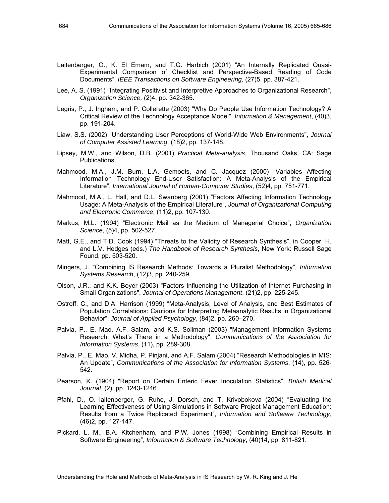- Laitenberger, O., K. El Emam, and T.G. Harbich (2001) "An Internally Replicated Quasi-Experimental Comparison of Checklist and Perspective-Based Reading of Code Documents", *IEEE Transactions on Software Engineering*, (27)5, pp. 387-421.
- Lee, A. S. (1991) "Integrating Positivist and Interpretive Approaches to Organizational Research", *Organization Science,* (2)4, pp. 342-365.
- Legris, P., J. Ingham, and P. Collerette (2003) "Why Do People Use Information Technology? A Critical Review of the Technology Acceptance Model", *Information & Management*, (40)3, pp. 191-204.
- Liaw, S.S. (2002) "Understanding User Perceptions of World-Wide Web Environments", *Journal of Computer Assisted Learning*, (18)2, pp. 137-148.
- Lipsey, M.W., and Wilson, D.B. (2001) *Practical Meta-analysis*, Thousand Oaks, CA: Sage Publications.
- Mahmood, M.A., J.M. Burn, L.A. Gemoets, and C. Jacquez (2000) "Variables Affecting Information Technology End-User Satisfaction: A Meta-Analysis of the Empirical Literature", *International Journal of Human-Computer Studies*, (52)4, pp. 751-771.
- Mahmood, M.A., L. Hall, and D.L. Swanberg (2001) "Factors Affecting Information Technology Usage: A Meta-Analysis of the Empirical Literature", *Journal of Organizational Computing and Electronic Commerce*, (11)2, pp. 107-130.
- Markus, M.L. (1994) "Electronic Mail as the Medium of Managerial Choice", *Organization Science*, (5)4, pp. 502-527.
- Matt, G.E., and T.D. Cook (1994) "Threats to the Validity of Research Synthesis", in Cooper, H. and L.V. Hedges (eds.) *The Handbook of Research Synthesis*, New York: Russell Sage Found, pp. 503-520.
- Mingers, J. "Combining IS Research Methods: Towards a Pluralist Methodology", *Information Systems Research*, (12)3, pp. 240-259.
- Olson, J.R., and K.K. Boyer (2003) "Factors Influencing the Utilization of Internet Purchasing in Small Organizations", *Journal of Operations Management*, (21)2, pp. 225-245.
- Ostroff, C., and D.A. Harrison (1999) "Meta-Analysis, Level of Analysis, and Best Estimates of Population Correlations: Cautions for Interpreting Metaanalytic Results in Organizational Behavior", *Journal of Applied Psychology*, (84)2, pp. 260–270.
- Palvia, P., E. Mao, A.F. Salam, and K.S. Soliman (2003) "Management Information Systems Research: What's There in a Methodology", *Communications of the Association for Information Systems*, (11), pp. 289-308.
- Palvia, P., E. Mao, V. Midha, P. Pinjani, and A.F. Salam (2004) "Research Methodologies in MIS: An Update", *Communications of the Association for Information Systems*, (14), pp. 526- 542.
- Pearson, K. (1904) "Report on Certain Enteric Fever Inoculation Statistics", *British Medical Journal*, (2), pp. 1243-1246.
- Pfahl, D., O. laitenberger, G. Ruhe, J. Dorsch, and T. Krivobokova (2004) "Evaluating the Learning Effectiveness of Using Simulations in Software Project Management Education: Results from a Twice Replicated Experiment", *Information and Software Technology*, (46)2, pp. 127-147.
- Pickard, L. M., B.A. Kitchenham, and P.W. Jones (1998) "Combining Empirical Results in Software Engineering", *Information & Software Technology*, (40)14, pp. 811-821.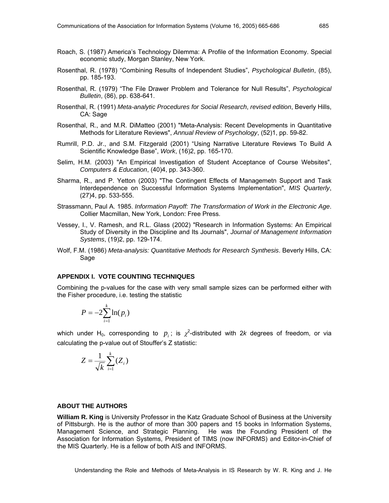- Roach, S. (1987) America's Technology Dilemma: A Profile of the Information Economy. Special economic study, Morgan Stanley, New York.
- Rosenthal, R. (1978) "Combining Results of Independent Studies", *Psychological Bulletin*, (85), pp. 185-193.
- Rosenthal, R. (1979) "The File Drawer Problem and Tolerance for Null Results", *Psychological Bulletin*, (86), pp. 638-641.
- Rosenthal, R. (1991) *Meta-analytic Procedures for Social Research*, *revised edition*, Beverly Hills, CA: Sage
- Rosenthal, R., and M.R. DiMatteo (2001) "Meta-Analysis: Recent Developments in Quantitative Methods for Literature Reviews", *Annual Review of Psychology*, (52)1, pp. 59-82.
- Rumrill, P.D. Jr., and S.M. Fitzgerald (2001) "Using Narrative Literature Reviews To Build A Scientific Knowledge Base", *Work*, (16)2, pp. 165-170.
- Selim, H.M. (2003) "An Empirical Investigation of Student Acceptance of Course Websites", *Computers & Education*, (40)4, pp. 343-360.
- Sharma, R., and P. Yetton (2003) "The Contingent Effects of Managemetn Support and Task Interdependence on Successful Information Systems Implementation", *MIS Quarterly*, (27)4, pp. 533-555.
- Strassmann, Paul A. 1985. *Information Payoff: The Transformation of Work in the Electronic Age*. Collier Macmillan, New York, London: Free Press.
- Vessey, I., V. Ramesh, and R.L. Glass (2002) "Research in Information Systems: An Empirical Study of Diversity in the Discipline and Its Journals", *Journal of Management Information Systems*, (19)2, pp. 129-174.
- Wolf, F.M. (1986) *Meta-analysis: Quantitative Methods for Research Synthesis*. Beverly Hills, CA: Sage

#### **APPENDIX I. VOTE COUNTING TECHNIQUES**

Combining the p-values for the case with very small sample sizes can be performed either with the Fisher procedure, i.e. testing the statistic

$$
P = -2\sum_{i=1}^{k} \ln(p_i)
$$

which under H<sub>0</sub>, corresponding to  $p_i$ ; is  $\chi^2$ -distributed with 2*k* degrees of freedom, or via calculating the p-value out of Stouffer's Z statistic:

$$
Z = \frac{1}{\sqrt{k}} \sum_{i=1}^{k} (Z_i)
$$

#### **ABOUT THE AUTHORS**

**William R. King** is University Professor in the Katz Graduate School of Business at the University of Pittsburgh. He is the author of more than 300 papers and 15 books in Information Systems, Management Science, and Strategic Planning. He was the Founding President of the Association for Information Systems, President of TIMS (now INFORMS) and Editor-in-Chief of the MIS Quarterly. He is a fellow of both AIS and INFORMS.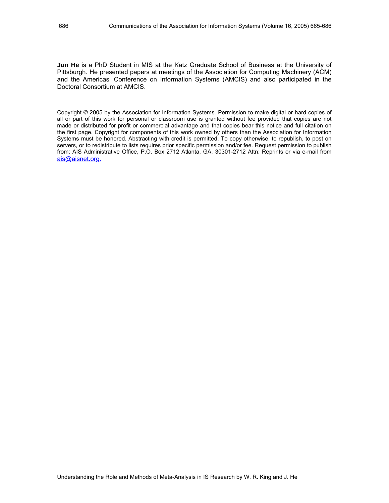**Jun He** is a PhD Student in MIS at the Katz Graduate School of Business at the University of Pittsburgh. He presented papers at meetings of the Association for Computing Machinery (ACM) and the Americas' Conference on Information Systems (AMCIS) and also participated in the Doctoral Consortium at AMCIS.

Copyright © 2005 by the Association for Information Systems. Permission to make digital or hard copies of all or part of this work for personal or classroom use is granted without fee provided that copies are not made or distributed for profit or commercial advantage and that copies bear this notice and full citation on the first page. Copyright for components of this work owned by others than the Association for Information Systems must be honored. Abstracting with credit is permitted. To copy otherwise, to republish, to post on servers, or to redistribute to lists requires prior specific permission and/or fee. Request permission to publish from: AIS Administrative Office, P.O. Box 2712 Atlanta, GA, 30301-2712 Attn: Reprints or via e-mail from ais@aisnet.org.